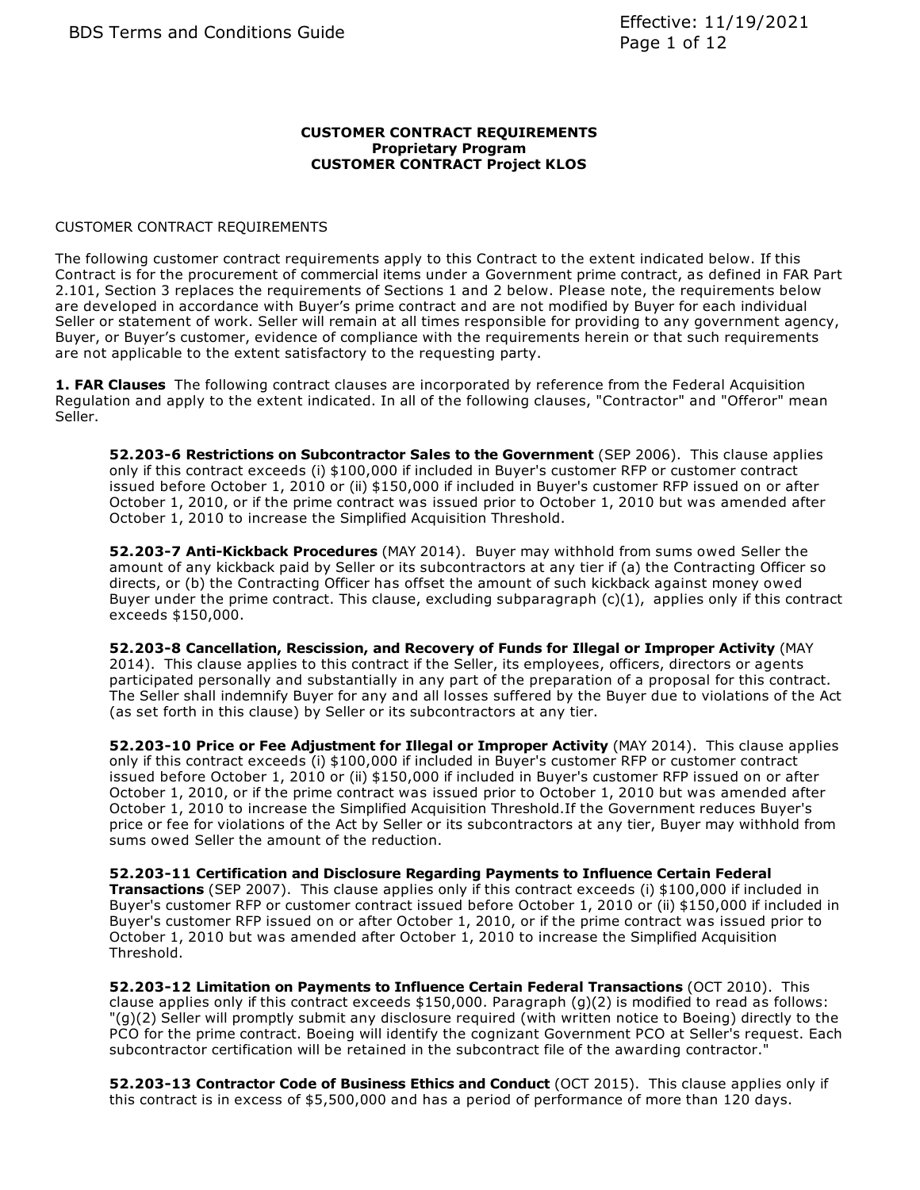#### **CUSTOMER CONTRACT REQUIREMENTS Proprietary Program CUSTOMER CONTRACT Project KLOS**

### CUSTOMER CONTRACT REQUIREMENTS

The following customer contract requirements apply to this Contract to the extent indicated below. If this Contract is for the procurement of commercial items under a Government prime contract, as defined in FAR Part 2.101, Section 3 replaces the requirements of Sections 1 and 2 below. Please note, the requirements below are developed in accordance with Buyer's prime contract and are not modified by Buyer for each individual Seller or statement of work. Seller will remain at all times responsible for providing to any government agency, Buyer, or Buyer's customer, evidence of compliance with the requirements herein or that such requirements are not applicable to the extent satisfactory to the requesting party.

**1. FAR Clauses** The following contract clauses are incorporated by reference from the Federal Acquisition Regulation and apply to the extent indicated. In all of the following clauses, "Contractor" and "Offeror" mean Seller.

**52.203-6 Restrictions on Subcontractor Sales to the Government** (SEP 2006). This clause applies only if this contract exceeds (i) \$100,000 if included in Buyer's customer RFP or customer contract issued before October 1, 2010 or (ii) \$150,000 if included in Buyer's customer RFP issued on or after October 1, 2010, or if the prime contract was issued prior to October 1, 2010 but was amended after October 1, 2010 to increase the Simplified Acquisition Threshold.

**52.203-7 Anti-Kickback Procedures** (MAY 2014). Buyer may withhold from sums owed Seller the amount of any kickback paid by Seller or its subcontractors at any tier if (a) the Contracting Officer so directs, or (b) the Contracting Officer has offset the amount of such kickback against money owed Buyer under the prime contract. This clause, excluding subparagraph  $(c)(1)$ , applies only if this contract exceeds \$150,000.

**52.203-8 Cancellation, Rescission, and Recovery of Funds for Illegal or Improper Activity** (MAY 2014). This clause applies to this contract if the Seller, its employees, officers, directors or agents participated personally and substantially in any part of the preparation of a proposal for this contract. The Seller shall indemnify Buyer for any and all losses suffered by the Buyer due to violations of the Act (as set forth in this clause) by Seller or its subcontractors at any tier.

**52.203-10 Price or Fee Adjustment for Illegal or Improper Activity** (MAY 2014). This clause applies only if this contract exceeds (i) \$100,000 if included in Buyer's customer RFP or customer contract issued before October 1, 2010 or (ii) \$150,000 if included in Buyer's customer RFP issued on or after October 1, 2010, or if the prime contract was issued prior to October 1, 2010 but was amended after October 1, 2010 to increase the Simplified Acquisition Threshold.If the Government reduces Buyer's price or fee for violations of the Act by Seller or its subcontractors at any tier, Buyer may withhold from sums owed Seller the amount of the reduction.

**52.203-11 Certification and Disclosure Regarding Payments to Influence Certain Federal Transactions** (SEP 2007). This clause applies only if this contract exceeds (i) \$100,000 if included in Buyer's customer RFP or customer contract issued before October 1, 2010 or (ii) \$150,000 if included in Buyer's customer RFP issued on or after October 1, 2010, or if the prime contract was issued prior to October 1, 2010 but was amended after October 1, 2010 to increase the Simplified Acquisition Threshold.

**52.203-12 Limitation on Payments to Influence Certain Federal Transactions** (OCT 2010). This clause applies only if this contract exceeds \$150,000. Paragraph (g)(2) is modified to read as follows: "(g)(2) Seller will promptly submit any disclosure required (with written notice to Boeing) directly to the PCO for the prime contract. Boeing will identify the cognizant Government PCO at Seller's request. Each subcontractor certification will be retained in the subcontract file of the awarding contractor."

**52.203-13 Contractor Code of Business Ethics and Conduct** (OCT 2015). This clause applies only if this contract is in excess of \$5,500,000 and has a period of performance of more than 120 days.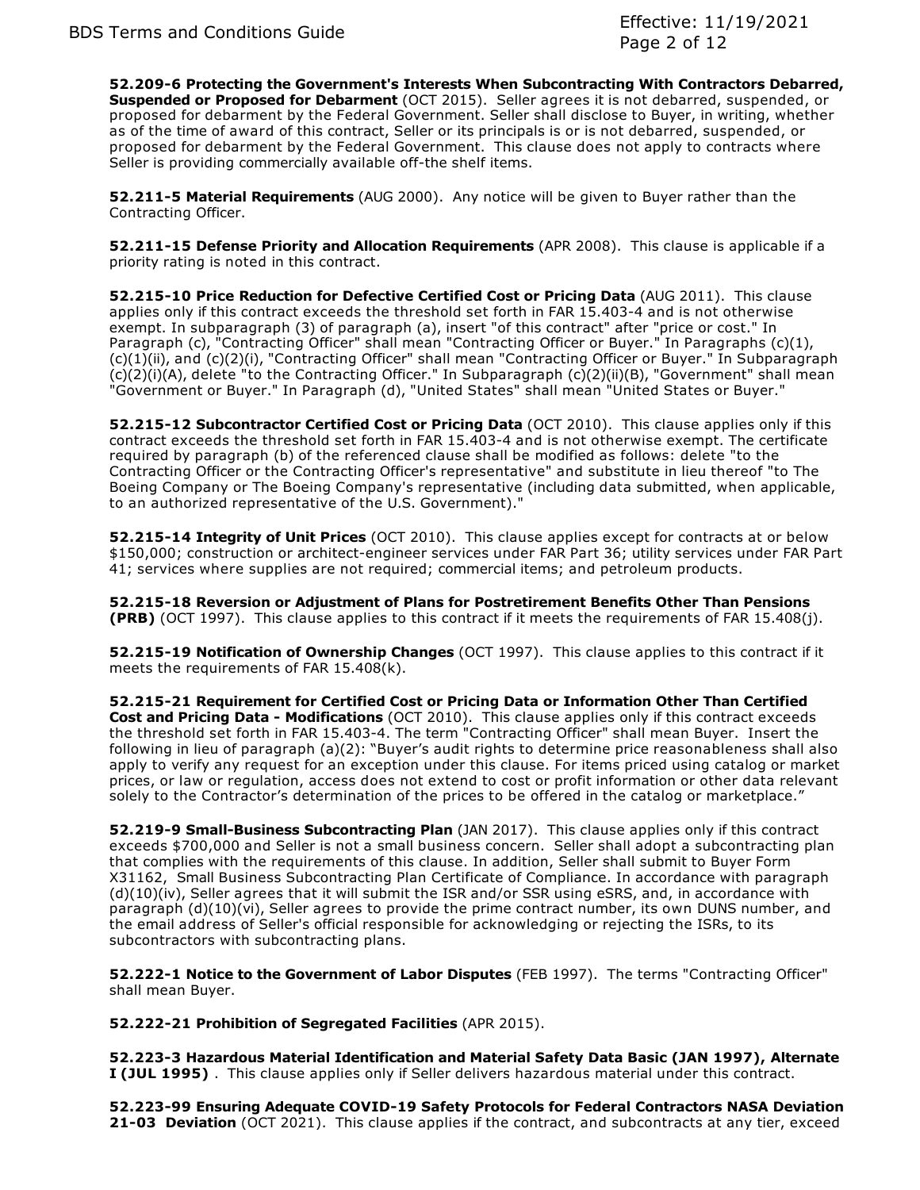**52.209-6 Protecting the Government's Interests When Subcontracting With Contractors Debarred, Suspended or Proposed for Debarment** (OCT 2015). Seller agrees it is not debarred, suspended, or proposed for debarment by the Federal Government. Seller shall disclose to Buyer, in writing, whether as of the time of award of this contract, Seller or its principals is or is not debarred, suspended, or proposed for debarment by the Federal Government. This clause does not apply to contracts where Seller is providing commercially available off-the shelf items.

**52.211-5 Material Requirements** (AUG 2000). Any notice will be given to Buyer rather than the Contracting Officer.

**52.211-15 Defense Priority and Allocation Requirements** (APR 2008). This clause is applicable if a priority rating is noted in this contract.

**52.215-10 Price Reduction for Defective Certified Cost or Pricing Data** (AUG 2011). This clause applies only if this contract exceeds the threshold set forth in FAR 15.403-4 and is not otherwise exempt. In subparagraph (3) of paragraph (a), insert "of this contract" after "price or cost." In Paragraph (c), "Contracting Officer" shall mean "Contracting Officer or Buyer." In Paragraphs (c)(1), (c)(1)(ii), and (c)(2)(i), "Contracting Officer" shall mean "Contracting Officer or Buyer." In Subparagraph (c)(2)(i)(A), delete "to the Contracting Officer." In Subparagraph (c)(2)(ii)(B), "Government" shall mean "Government or Buyer." In Paragraph (d), "United States" shall mean "United States or Buyer."

**52.215-12 Subcontractor Certified Cost or Pricing Data** (OCT 2010). This clause applies only if this contract exceeds the threshold set forth in FAR 15.403-4 and is not otherwise exempt. The certificate required by paragraph (b) of the referenced clause shall be modified as follows: delete "to the Contracting Officer or the Contracting Officer's representative" and substitute in lieu thereof "to The Boeing Company or The Boeing Company's representative (including data submitted, when applicable, to an authorized representative of the U.S. Government)."

**52.215-14 Integrity of Unit Prices** (OCT 2010). This clause applies except for contracts at or below \$150,000; construction or architect-engineer services under FAR Part 36; utility services under FAR Part 41; services where supplies are not required; commercial items; and petroleum products.

**52.215-18 Reversion or Adjustment of Plans for Postretirement Benefits Other Than Pensions (PRB)** (OCT 1997). This clause applies to this contract if it meets the requirements of FAR 15.408(j).

**52.215-19 Notification of Ownership Changes** (OCT 1997). This clause applies to this contract if it meets the requirements of FAR 15.408(k).

**52.215-21 Requirement for Certified Cost or Pricing Data or Information Other Than Certified Cost and Pricing Data - Modifications** (OCT 2010). This clause applies only if this contract exceeds the threshold set forth in FAR 15.403-4. The term "Contracting Officer" shall mean Buyer. Insert the following in lieu of paragraph (a)(2): "Buyer's audit rights to determine price reasonableness shall also apply to verify any request for an exception under this clause. For items priced using catalog or market prices, or law or regulation, access does not extend to cost or profit information or other data relevant solely to the Contractor's determination of the prices to be offered in the catalog or marketplace."

**52.219-9 Small-Business Subcontracting Plan** (JAN 2017). This clause applies only if this contract exceeds \$700,000 and Seller is not a small business concern. Seller shall adopt a subcontracting plan that complies with the requirements of this clause. In addition, Seller shall submit to Buyer Form X31162, Small Business Subcontracting Plan Certificate of Compliance. In accordance with paragraph (d)(10)(iv), Seller agrees that it will submit the ISR and/or SSR using eSRS, and, in accordance with paragraph (d)(10)(vi), Seller agrees to provide the prime contract number, its own DUNS number, and the email address of Seller's official responsible for acknowledging or rejecting the ISRs, to its subcontractors with subcontracting plans.

**52.222-1 Notice to the Government of Labor Disputes** (FEB 1997). The terms "Contracting Officer" shall mean Buyer.

**52.222-21 Prohibition of Segregated Facilities** (APR 2015).

**52.223-3 Hazardous Material Identification and Material Safety Data Basic (JAN 1997), Alternate I (JUL 1995)** . This clause applies only if Seller delivers hazardous material under this contract.

**52.223-99 Ensuring Adequate COVID-19 Safety Protocols for Federal Contractors NASA Deviation 21-03 Deviation** (OCT 2021). This clause applies if the contract, and subcontracts at any tier, exceed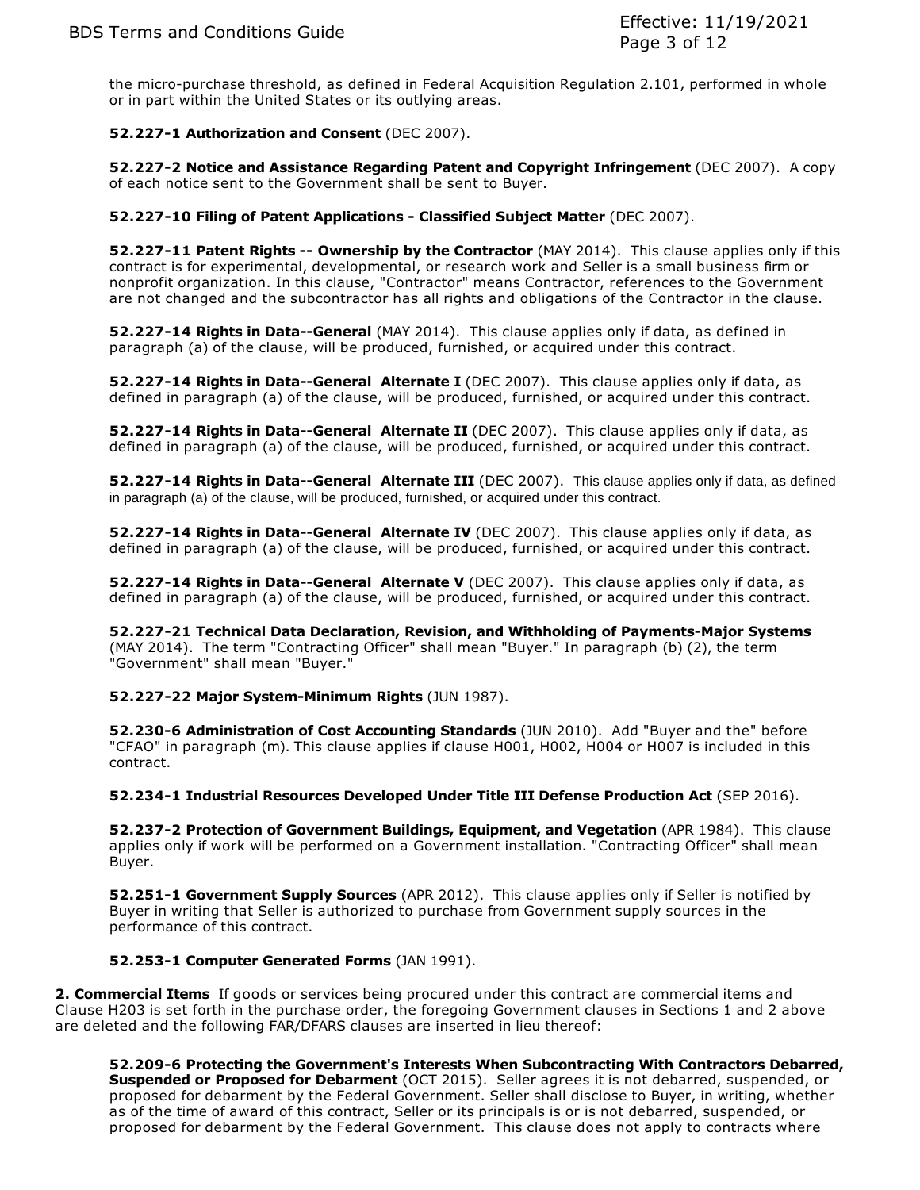the micro-purchase threshold, as defined in Federal Acquisition Regulation 2.101, performed in whole or in part within the United States or its outlying areas.

## **52.227-1 Authorization and Consent** (DEC 2007).

**52.227-2 Notice and Assistance Regarding Patent and Copyright Infringement** (DEC 2007). A copy of each notice sent to the Government shall be sent to Buyer.

### **52.227-10 Filing of Patent Applications - Classified Subject Matter** (DEC 2007).

**52.227-11 Patent Rights -- Ownership by the Contractor** (MAY 2014). This clause applies only if this contract is for experimental, developmental, or research work and Seller is a small business firm or nonprofit organization. In this clause, "Contractor" means Contractor, references to the Government are not changed and the subcontractor has all rights and obligations of the Contractor in the clause.

**52.227-14 Rights in Data--General** (MAY 2014). This clause applies only if data, as defined in paragraph (a) of the clause, will be produced, furnished, or acquired under this contract.

**52.227-14 Rights in Data--General Alternate I** (DEC 2007). This clause applies only if data, as defined in paragraph (a) of the clause, will be produced, furnished, or acquired under this contract.

**52.227-14 Rights in Data--General Alternate II** (DEC 2007). This clause applies only if data, as defined in paragraph (a) of the clause, will be produced, furnished, or acquired under this contract.

**52.227-14 Rights in Data--General Alternate III** (DEC 2007). This clause applies only if data, as defined in paragraph (a) of the clause, will be produced, furnished, or acquired under this contract.

**52.227-14 Rights in Data--General Alternate IV** (DEC 2007). This clause applies only if data, as defined in paragraph (a) of the clause, will be produced, furnished, or acquired under this contract.

**52.227-14 Rights in Data--General Alternate V** (DEC 2007). This clause applies only if data, as defined in paragraph (a) of the clause, will be produced, furnished, or acquired under this contract.

**52.227-21 Technical Data Declaration, Revision, and Withholding of Payments-Major Systems** (MAY 2014). The term "Contracting Officer" shall mean "Buyer." In paragraph (b) (2), the term "Government" shall mean "Buyer."

**52.227-22 Major System-Minimum Rights** (JUN 1987).

**52.230-6 Administration of Cost Accounting Standards** (JUN 2010). Add "Buyer and the" before "CFAO" in paragraph (m). This clause applies if clause H001, H002, H004 or H007 is included in this contract.

**52.234-1 Industrial Resources Developed Under Title III Defense Production Act** (SEP 2016).

**52.237-2 Protection of Government Buildings, Equipment, and Vegetation** (APR 1984). This clause applies only if work will be performed on a Government installation. "Contracting Officer" shall mean Buyer.

**52.251-1 Government Supply Sources** (APR 2012). This clause applies only if Seller is notified by Buyer in writing that Seller is authorized to purchase from Government supply sources in the performance of this contract.

### **52.253-1 Computer Generated Forms** (JAN 1991).

**2. Commercial Items** If goods or services being procured under this contract are commercial items and Clause H203 is set forth in the purchase order, the foregoing Government clauses in Sections 1 and 2 above are deleted and the following FAR/DFARS clauses are inserted in lieu thereof:

**52.209-6 Protecting the Government's Interests When Subcontracting With Contractors Debarred, Suspended or Proposed for Debarment** (OCT 2015). Seller agrees it is not debarred, suspended, or proposed for debarment by the Federal Government. Seller shall disclose to Buyer, in writing, whether as of the time of award of this contract, Seller or its principals is or is not debarred, suspended, or proposed for debarment by the Federal Government. This clause does not apply to contracts where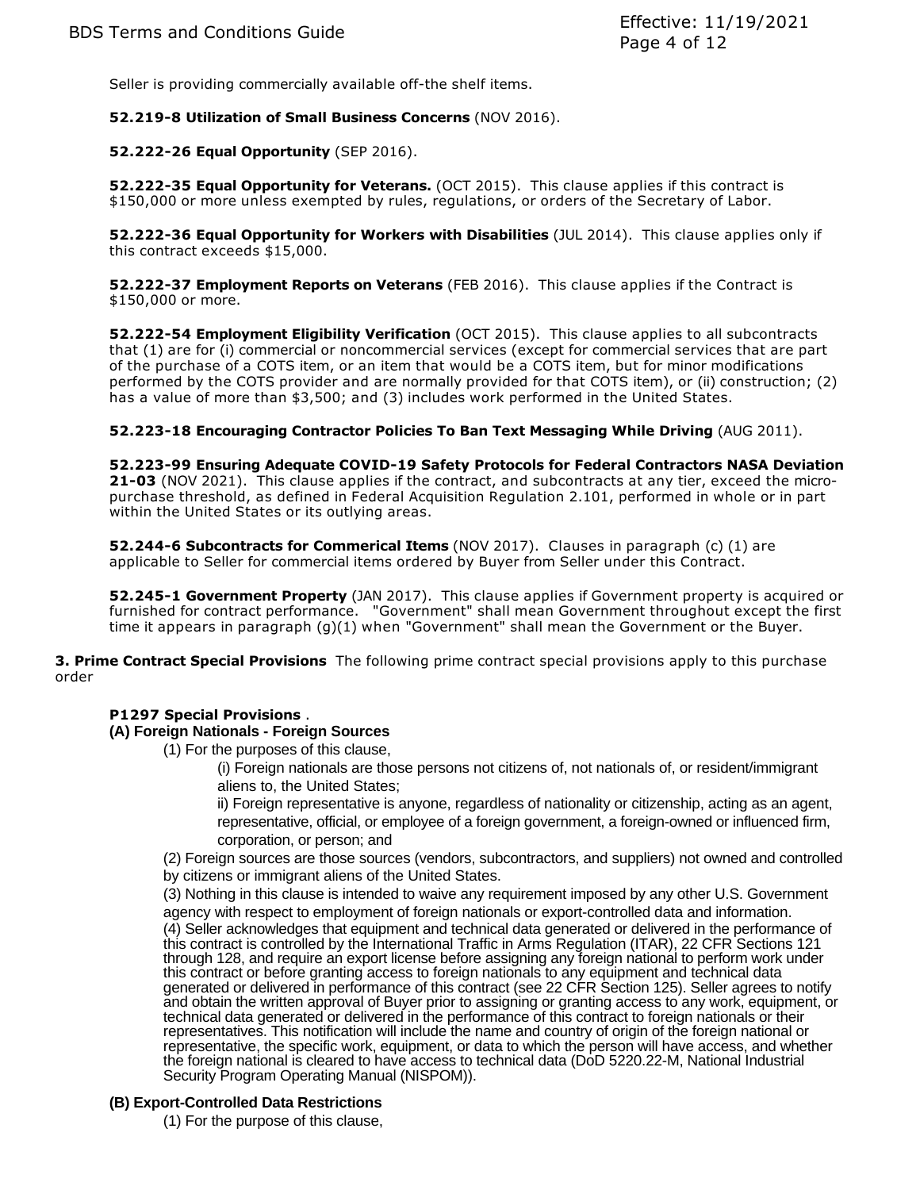Seller is providing commercially available off-the shelf items.

## **52.219-8 Utilization of Small Business Concerns** (NOV 2016).

## **52.222-26 Equal Opportunity** (SEP 2016).

**52.222-35 Equal Opportunity for Veterans.** (OCT 2015). This clause applies if this contract is \$150,000 or more unless exempted by rules, regulations, or orders of the Secretary of Labor.

**52.222-36 Equal Opportunity for Workers with Disabilities** (JUL 2014). This clause applies only if this contract exceeds \$15,000.

**52.222-37 Employment Reports on Veterans** (FEB 2016). This clause applies if the Contract is \$150,000 or more.

**52.222-54 Employment Eligibility Verification** (OCT 2015). This clause applies to all subcontracts that (1) are for (i) commercial or noncommercial services (except for commercial services that are part of the purchase of a COTS item, or an item that would be a COTS item, but for minor modifications performed by the COTS provider and are normally provided for that COTS item), or (ii) construction; (2) has a value of more than \$3,500; and (3) includes work performed in the United States.

**52.223-18 Encouraging Contractor Policies To Ban Text Messaging While Driving** (AUG 2011).

**52.223-99 Ensuring Adequate COVID-19 Safety Protocols for Federal Contractors NASA Deviation 21-03** (NOV 2021). This clause applies if the contract, and subcontracts at any tier, exceed the micropurchase threshold, as defined in Federal Acquisition Regulation 2.101, performed in whole or in part within the United States or its outlying areas.

**52.244-6 Subcontracts for Commerical Items** (NOV 2017). Clauses in paragraph (c) (1) are applicable to Seller for commercial items ordered by Buyer from Seller under this Contract.

**52.245-1 Government Property** (JAN 2017). This clause applies if Government property is acquired or furnished for contract performance. "Government" shall mean Government throughout except the first time it appears in paragraph (g)(1) when "Government" shall mean the Government or the Buyer.

**3. Prime Contract Special Provisions** The following prime contract special provisions apply to this purchase order

### **P1297 Special Provisions** .

### **(A) Foreign Nationals - Foreign Sources**

(1) For the purposes of this clause,

(i) Foreign nationals are those persons not citizens of, not nationals of, or resident/immigrant aliens to, the United States;

ii) Foreign representative is anyone, regardless of nationality or citizenship, acting as an agent, representative, official, or employee of a foreign government, a foreign-owned or influenced firm, corporation, or person; and

(2) Foreign sources are those sources (vendors, subcontractors, and suppliers) not owned and controlled by citizens or immigrant aliens of the United States.

(3) Nothing in this clause is intended to waive any requirement imposed by any other U.S. Government

agency with respect to employment of foreign nationals or export-controlled data and information. (4) Seller acknowledges that equipment and technical data generated or delivered in the performance of this contract is controlled by the International Traffic in Arms Regulation (ITAR), 22 CFR Sections 121 through 128, and require an export license before assigning any foreign national to perform work under this contract or before granting access to foreign nationals to any equipment and technical data generated or delivered in performance of this contract (see 22 CFR Section 125). Seller agrees to notify and obtain the written approval of Buyer prior to assigning or granting access to any work, equipment, or technical data generated or delivered in the performance of this contract to foreign nationals or their representatives. This notification will include the name and country of origin of the foreign national or representative, the specific work, equipment, or data to which the person will have access, and whether the foreign national is cleared to have access to technical data (DoD 5220.22-M, National Industrial Security Program Operating Manual (NISPOM)).

### **(B) Export-Controlled Data Restrictions**

(1) For the purpose of this clause,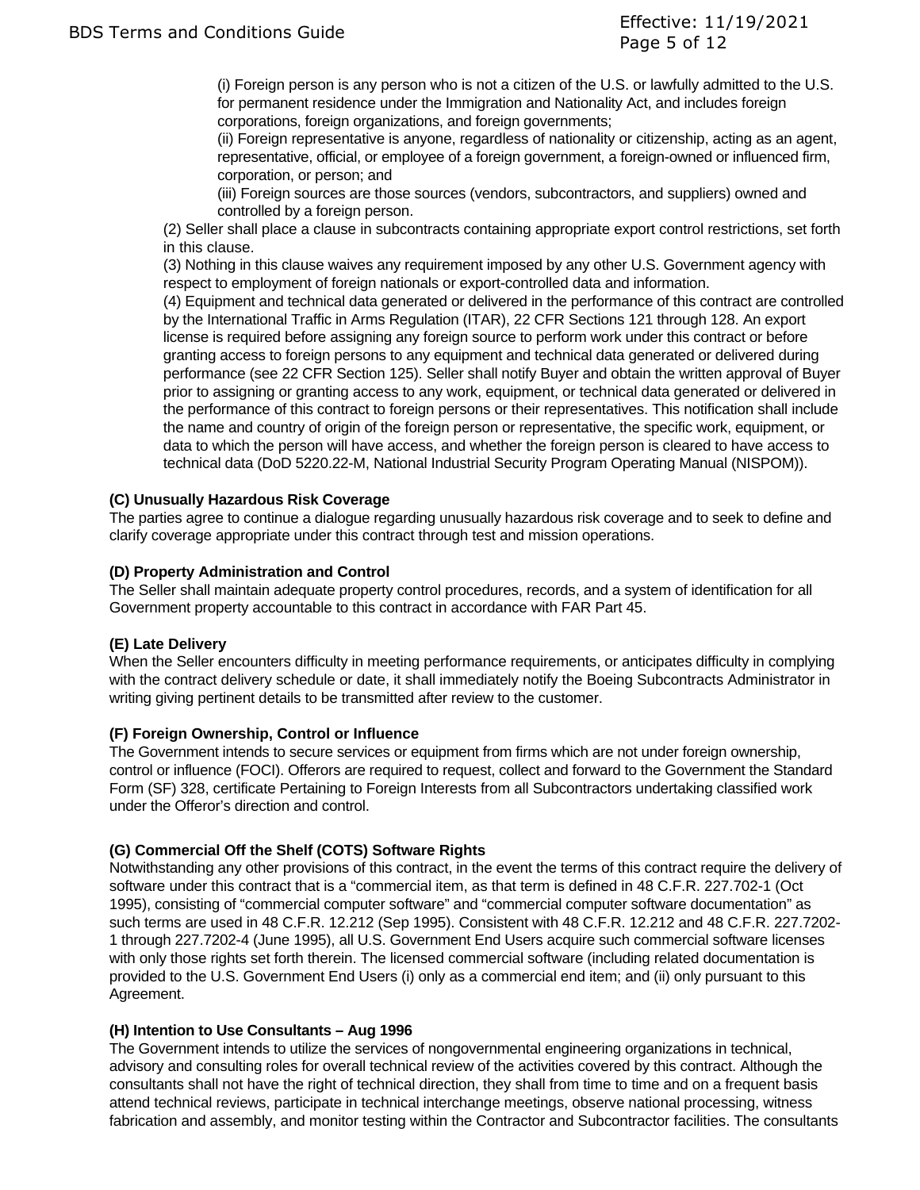(i) Foreign person is any person who is not a citizen of the U.S. or lawfully admitted to the U.S. for permanent residence under the Immigration and Nationality Act, and includes foreign corporations, foreign organizations, and foreign governments;

(ii) Foreign representative is anyone, regardless of nationality or citizenship, acting as an agent, representative, official, or employee of a foreign government, a foreign-owned or influenced firm, corporation, or person; and

(iii) Foreign sources are those sources (vendors, subcontractors, and suppliers) owned and controlled by a foreign person.

(2) Seller shall place a clause in subcontracts containing appropriate export control restrictions, set forth in this clause.

(3) Nothing in this clause waives any requirement imposed by any other U.S. Government agency with respect to employment of foreign nationals or export-controlled data and information.

(4) Equipment and technical data generated or delivered in the performance of this contract are controlled by the International Traffic in Arms Regulation (ITAR), 22 CFR Sections 121 through 128. An export license is required before assigning any foreign source to perform work under this contract or before granting access to foreign persons to any equipment and technical data generated or delivered during performance (see 22 CFR Section 125). Seller shall notify Buyer and obtain the written approval of Buyer prior to assigning or granting access to any work, equipment, or technical data generated or delivered in the performance of this contract to foreign persons or their representatives. This notification shall include the name and country of origin of the foreign person or representative, the specific work, equipment, or data to which the person will have access, and whether the foreign person is cleared to have access to technical data (DoD 5220.22-M, National Industrial Security Program Operating Manual (NISPOM)).

# **(C) Unusually Hazardous Risk Coverage**

The parties agree to continue a dialogue regarding unusually hazardous risk coverage and to seek to define and clarify coverage appropriate under this contract through test and mission operations.

## **(D) Property Administration and Control**

The Seller shall maintain adequate property control procedures, records, and a system of identification for all Government property accountable to this contract in accordance with FAR Part 45.

# **(E) Late Delivery**

When the Seller encounters difficulty in meeting performance requirements, or anticipates difficulty in complying with the contract delivery schedule or date, it shall immediately notify the Boeing Subcontracts Administrator in writing giving pertinent details to be transmitted after review to the customer.

### **(F) Foreign Ownership, Control or Influence**

The Government intends to secure services or equipment from firms which are not under foreign ownership, control or influence (FOCI). Offerors are required to request, collect and forward to the Government the Standard Form (SF) 328, certificate Pertaining to Foreign Interests from all Subcontractors undertaking classified work under the Offeror's direction and control.

# **(G) Commercial Off the Shelf (COTS) Software Rights**

Notwithstanding any other provisions of this contract, in the event the terms of this contract require the delivery of software under this contract that is a "commercial item, as that term is defined in 48 C.F.R. 227.702-1 (Oct 1995), consisting of "commercial computer software" and "commercial computer software documentation" as such terms are used in 48 C.F.R. 12.212 (Sep 1995). Consistent with 48 C.F.R. 12.212 and 48 C.F.R. 227.7202- 1 through 227.7202-4 (June 1995), all U.S. Government End Users acquire such commercial software licenses with only those rights set forth therein. The licensed commercial software (including related documentation is provided to the U.S. Government End Users (i) only as a commercial end item; and (ii) only pursuant to this Agreement.

### **(H) Intention to Use Consultants – Aug 1996**

The Government intends to utilize the services of nongovernmental engineering organizations in technical, advisory and consulting roles for overall technical review of the activities covered by this contract. Although the consultants shall not have the right of technical direction, they shall from time to time and on a frequent basis attend technical reviews, participate in technical interchange meetings, observe national processing, witness fabrication and assembly, and monitor testing within the Contractor and Subcontractor facilities. The consultants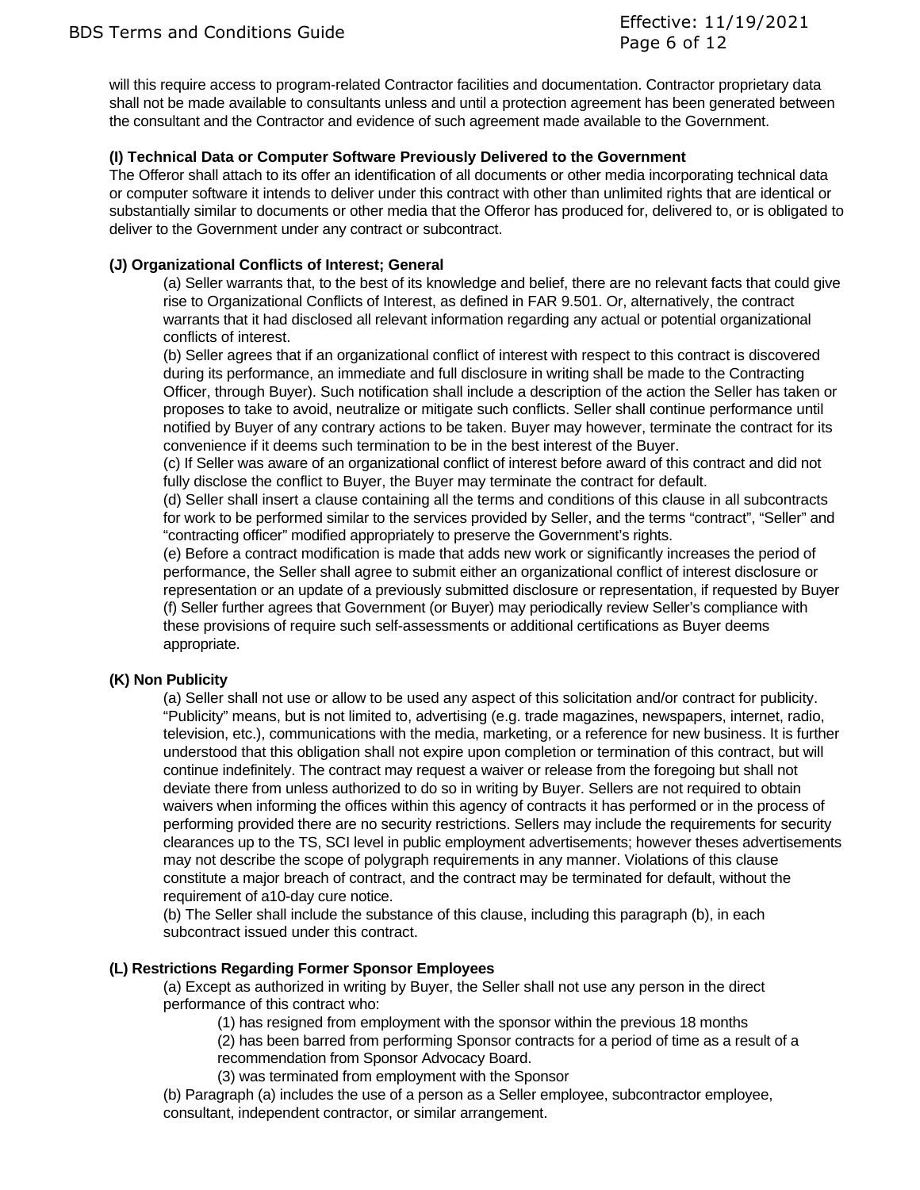BDS Terms and Conditions Guide Effective: 11/19/2021 Page 6 of 12

will this require access to program-related Contractor facilities and documentation. Contractor proprietary data shall not be made available to consultants unless and until a protection agreement has been generated between the consultant and the Contractor and evidence of such agreement made available to the Government.

## **(I) Technical Data or Computer Software Previously Delivered to the Government**

The Offeror shall attach to its offer an identification of all documents or other media incorporating technical data or computer software it intends to deliver under this contract with other than unlimited rights that are identical or substantially similar to documents or other media that the Offeror has produced for, delivered to, or is obligated to deliver to the Government under any contract or subcontract.

## **(J) Organizational Conflicts of Interest; General**

(a) Seller warrants that, to the best of its knowledge and belief, there are no relevant facts that could give rise to Organizational Conflicts of Interest, as defined in FAR 9.501. Or, alternatively, the contract warrants that it had disclosed all relevant information regarding any actual or potential organizational conflicts of interest.

(b) Seller agrees that if an organizational conflict of interest with respect to this contract is discovered during its performance, an immediate and full disclosure in writing shall be made to the Contracting Officer, through Buyer). Such notification shall include a description of the action the Seller has taken or proposes to take to avoid, neutralize or mitigate such conflicts. Seller shall continue performance until notified by Buyer of any contrary actions to be taken. Buyer may however, terminate the contract for its convenience if it deems such termination to be in the best interest of the Buyer.

(c) If Seller was aware of an organizational conflict of interest before award of this contract and did not fully disclose the conflict to Buyer, the Buyer may terminate the contract for default.

(d) Seller shall insert a clause containing all the terms and conditions of this clause in all subcontracts for work to be performed similar to the services provided by Seller, and the terms "contract", "Seller" and "contracting officer" modified appropriately to preserve the Government's rights.

(e) Before a contract modification is made that adds new work or significantly increases the period of performance, the Seller shall agree to submit either an organizational conflict of interest disclosure or representation or an update of a previously submitted disclosure or representation, if requested by Buyer (f) Seller further agrees that Government (or Buyer) may periodically review Seller's compliance with these provisions of require such self-assessments or additional certifications as Buyer deems appropriate.

### **(K) Non Publicity**

(a) Seller shall not use or allow to be used any aspect of this solicitation and/or contract for publicity. "Publicity" means, but is not limited to, advertising (e.g. trade magazines, newspapers, internet, radio, television, etc.), communications with the media, marketing, or a reference for new business. It is further understood that this obligation shall not expire upon completion or termination of this contract, but will continue indefinitely. The contract may request a waiver or release from the foregoing but shall not deviate there from unless authorized to do so in writing by Buyer. Sellers are not required to obtain waivers when informing the offices within this agency of contracts it has performed or in the process of performing provided there are no security restrictions. Sellers may include the requirements for security clearances up to the TS, SCI level in public employment advertisements; however theses advertisements may not describe the scope of polygraph requirements in any manner. Violations of this clause constitute a major breach of contract, and the contract may be terminated for default, without the requirement of a10-day cure notice.

(b) The Seller shall include the substance of this clause, including this paragraph (b), in each subcontract issued under this contract.

### **(L) Restrictions Regarding Former Sponsor Employees**

(a) Except as authorized in writing by Buyer, the Seller shall not use any person in the direct performance of this contract who:

(1) has resigned from employment with the sponsor within the previous 18 months

(2) has been barred from performing Sponsor contracts for a period of time as a result of a recommendation from Sponsor Advocacy Board.

(3) was terminated from employment with the Sponsor

(b) Paragraph (a) includes the use of a person as a Seller employee, subcontractor employee, consultant, independent contractor, or similar arrangement.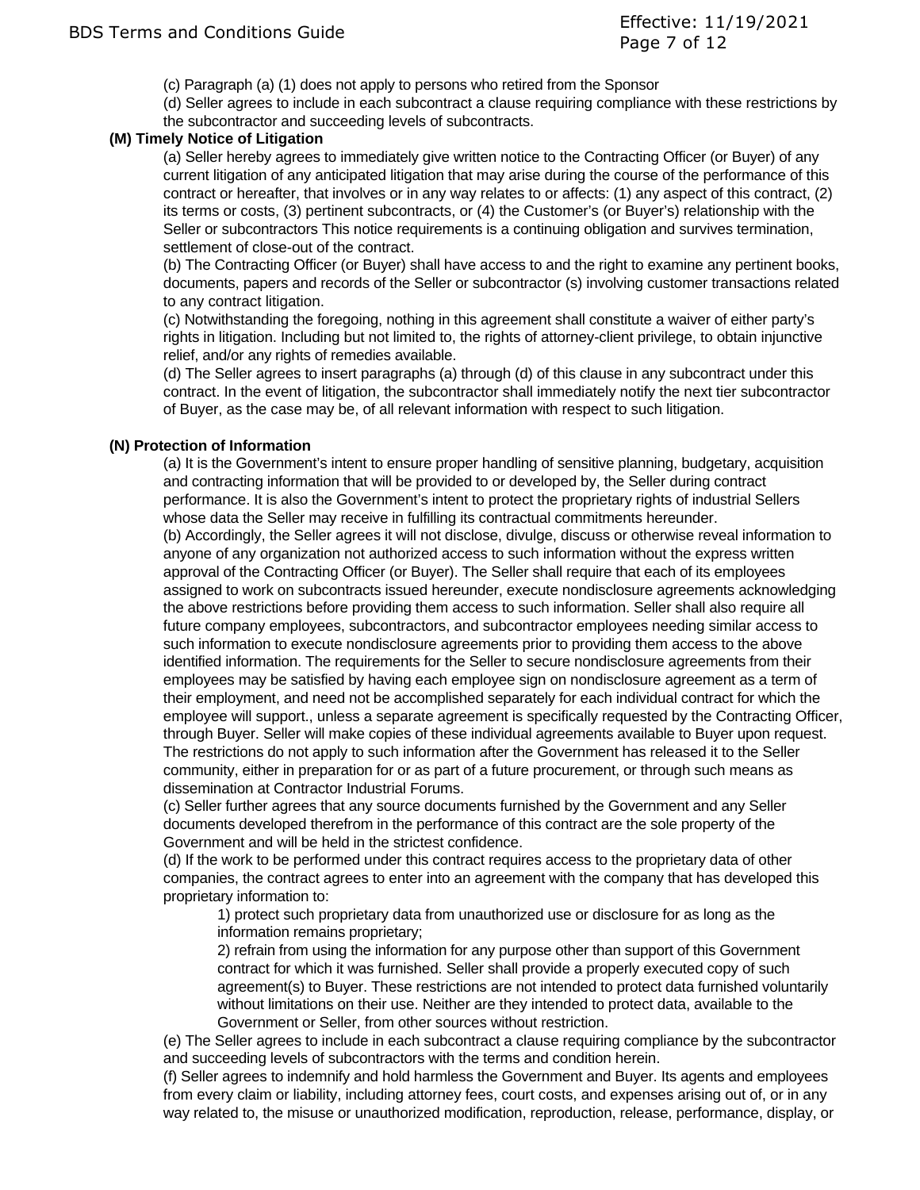- (c) Paragraph (a) (1) does not apply to persons who retired from the Sponsor
- (d) Seller agrees to include in each subcontract a clause requiring compliance with these restrictions by the subcontractor and succeeding levels of subcontracts.

## **(M) Timely Notice of Litigation**

(a) Seller hereby agrees to immediately give written notice to the Contracting Officer (or Buyer) of any current litigation of any anticipated litigation that may arise during the course of the performance of this contract or hereafter, that involves or in any way relates to or affects: (1) any aspect of this contract, (2) its terms or costs, (3) pertinent subcontracts, or (4) the Customer's (or Buyer's) relationship with the Seller or subcontractors This notice requirements is a continuing obligation and survives termination, settlement of close-out of the contract.

(b) The Contracting Officer (or Buyer) shall have access to and the right to examine any pertinent books, documents, papers and records of the Seller or subcontractor (s) involving customer transactions related to any contract litigation.

(c) Notwithstanding the foregoing, nothing in this agreement shall constitute a waiver of either party's rights in litigation. Including but not limited to, the rights of attorney-client privilege, to obtain injunctive relief, and/or any rights of remedies available.

(d) The Seller agrees to insert paragraphs (a) through (d) of this clause in any subcontract under this contract. In the event of litigation, the subcontractor shall immediately notify the next tier subcontractor of Buyer, as the case may be, of all relevant information with respect to such litigation.

## **(N) Protection of Information**

(a) It is the Government's intent to ensure proper handling of sensitive planning, budgetary, acquisition and contracting information that will be provided to or developed by, the Seller during contract performance. It is also the Government's intent to protect the proprietary rights of industrial Sellers whose data the Seller may receive in fulfilling its contractual commitments hereunder. (b) Accordingly, the Seller agrees it will not disclose, divulge, discuss or otherwise reveal information to anyone of any organization not authorized access to such information without the express written approval of the Contracting Officer (or Buyer). The Seller shall require that each of its employees assigned to work on subcontracts issued hereunder, execute nondisclosure agreements acknowledging the above restrictions before providing them access to such information. Seller shall also require all future company employees, subcontractors, and subcontractor employees needing similar access to such information to execute nondisclosure agreements prior to providing them access to the above identified information. The requirements for the Seller to secure nondisclosure agreements from their employees may be satisfied by having each employee sign on nondisclosure agreement as a term of their employment, and need not be accomplished separately for each individual contract for which the employee will support., unless a separate agreement is specifically requested by the Contracting Officer, through Buyer. Seller will make copies of these individual agreements available to Buyer upon request. The restrictions do not apply to such information after the Government has released it to the Seller community, either in preparation for or as part of a future procurement, or through such means as dissemination at Contractor Industrial Forums.

(c) Seller further agrees that any source documents furnished by the Government and any Seller documents developed therefrom in the performance of this contract are the sole property of the Government and will be held in the strictest confidence.

(d) If the work to be performed under this contract requires access to the proprietary data of other companies, the contract agrees to enter into an agreement with the company that has developed this proprietary information to:

1) protect such proprietary data from unauthorized use or disclosure for as long as the information remains proprietary;

2) refrain from using the information for any purpose other than support of this Government contract for which it was furnished. Seller shall provide a properly executed copy of such agreement(s) to Buyer. These restrictions are not intended to protect data furnished voluntarily without limitations on their use. Neither are they intended to protect data, available to the Government or Seller, from other sources without restriction.

(e) The Seller agrees to include in each subcontract a clause requiring compliance by the subcontractor and succeeding levels of subcontractors with the terms and condition herein.

(f) Seller agrees to indemnify and hold harmless the Government and Buyer. Its agents and employees from every claim or liability, including attorney fees, court costs, and expenses arising out of, or in any way related to, the misuse or unauthorized modification, reproduction, release, performance, display, or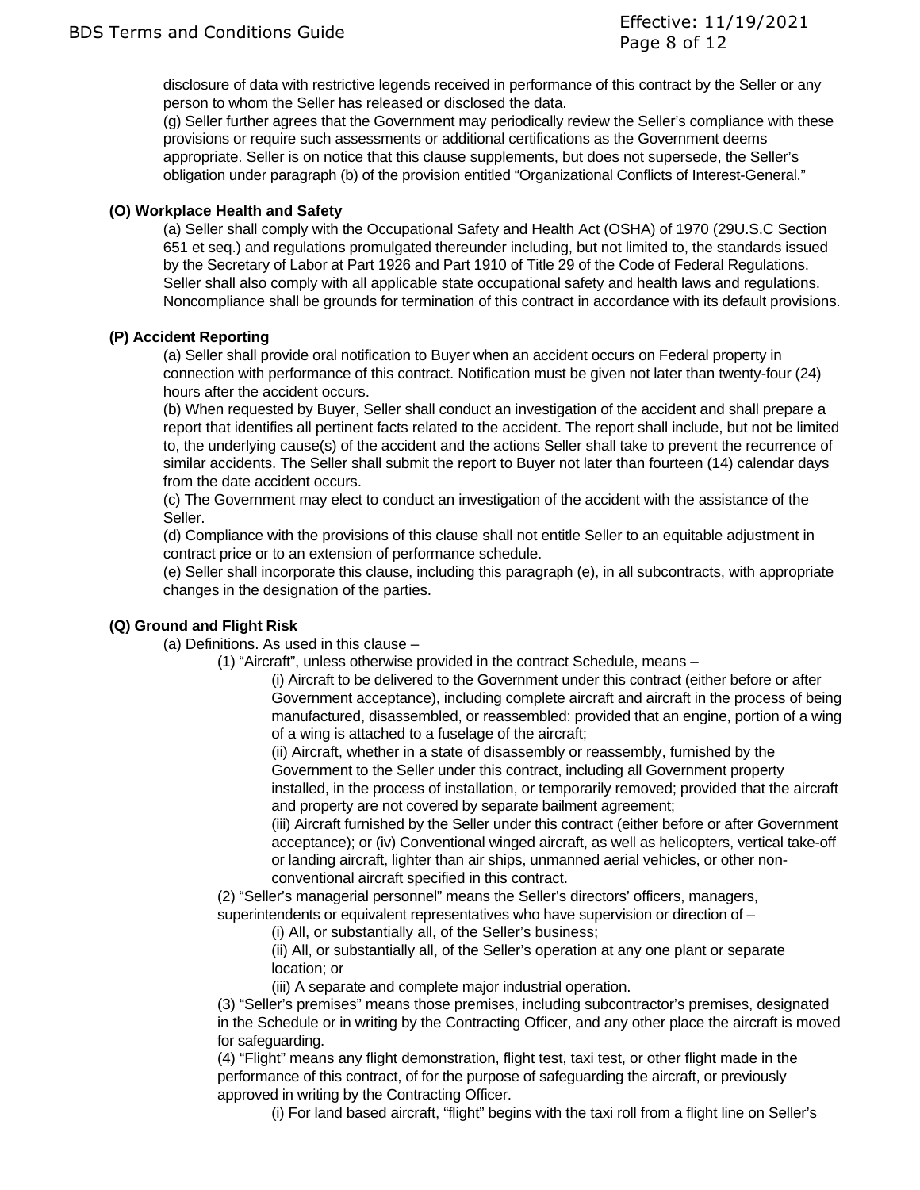disclosure of data with restrictive legends received in performance of this contract by the Seller or any person to whom the Seller has released or disclosed the data.

(g) Seller further agrees that the Government may periodically review the Seller's compliance with these provisions or require such assessments or additional certifications as the Government deems appropriate. Seller is on notice that this clause supplements, but does not supersede, the Seller's obligation under paragraph (b) of the provision entitled "Organizational Conflicts of Interest-General."

# **(O) Workplace Health and Safety**

(a) Seller shall comply with the Occupational Safety and Health Act (OSHA) of 1970 (29U.S.C Section 651 et seq.) and regulations promulgated thereunder including, but not limited to, the standards issued by the Secretary of Labor at Part 1926 and Part 1910 of Title 29 of the Code of Federal Regulations. Seller shall also comply with all applicable state occupational safety and health laws and regulations. Noncompliance shall be grounds for termination of this contract in accordance with its default provisions.

## **(P) Accident Reporting**

(a) Seller shall provide oral notification to Buyer when an accident occurs on Federal property in connection with performance of this contract. Notification must be given not later than twenty-four (24) hours after the accident occurs.

(b) When requested by Buyer, Seller shall conduct an investigation of the accident and shall prepare a report that identifies all pertinent facts related to the accident. The report shall include, but not be limited to, the underlying cause(s) of the accident and the actions Seller shall take to prevent the recurrence of similar accidents. The Seller shall submit the report to Buyer not later than fourteen (14) calendar days from the date accident occurs.

(c) The Government may elect to conduct an investigation of the accident with the assistance of the Seller.

(d) Compliance with the provisions of this clause shall not entitle Seller to an equitable adjustment in contract price or to an extension of performance schedule.

(e) Seller shall incorporate this clause, including this paragraph (e), in all subcontracts, with appropriate changes in the designation of the parties.

### **(Q) Ground and Flight Risk**

(a) Definitions. As used in this clause –

(1) "Aircraft", unless otherwise provided in the contract Schedule, means –

(i) Aircraft to be delivered to the Government under this contract (either before or after Government acceptance), including complete aircraft and aircraft in the process of being manufactured, disassembled, or reassembled: provided that an engine, portion of a wing of a wing is attached to a fuselage of the aircraft;

(ii) Aircraft, whether in a state of disassembly or reassembly, furnished by the

Government to the Seller under this contract, including all Government property installed, in the process of installation, or temporarily removed; provided that the aircraft and property are not covered by separate bailment agreement;

(iii) Aircraft furnished by the Seller under this contract (either before or after Government acceptance); or (iv) Conventional winged aircraft, as well as helicopters, vertical take-off or landing aircraft, lighter than air ships, unmanned aerial vehicles, or other nonconventional aircraft specified in this contract.

(2) "Seller's managerial personnel" means the Seller's directors' officers, managers, superintendents or equivalent representatives who have supervision or direction of –

(i) All, or substantially all, of the Seller's business;

(ii) All, or substantially all, of the Seller's operation at any one plant or separate location; or

(iii) A separate and complete major industrial operation.

(3) "Seller's premises" means those premises, including subcontractor's premises, designated in the Schedule or in writing by the Contracting Officer, and any other place the aircraft is moved for safeguarding.

(4) "Flight" means any flight demonstration, flight test, taxi test, or other flight made in the performance of this contract, of for the purpose of safeguarding the aircraft, or previously approved in writing by the Contracting Officer.

(i) For land based aircraft, "flight" begins with the taxi roll from a flight line on Seller's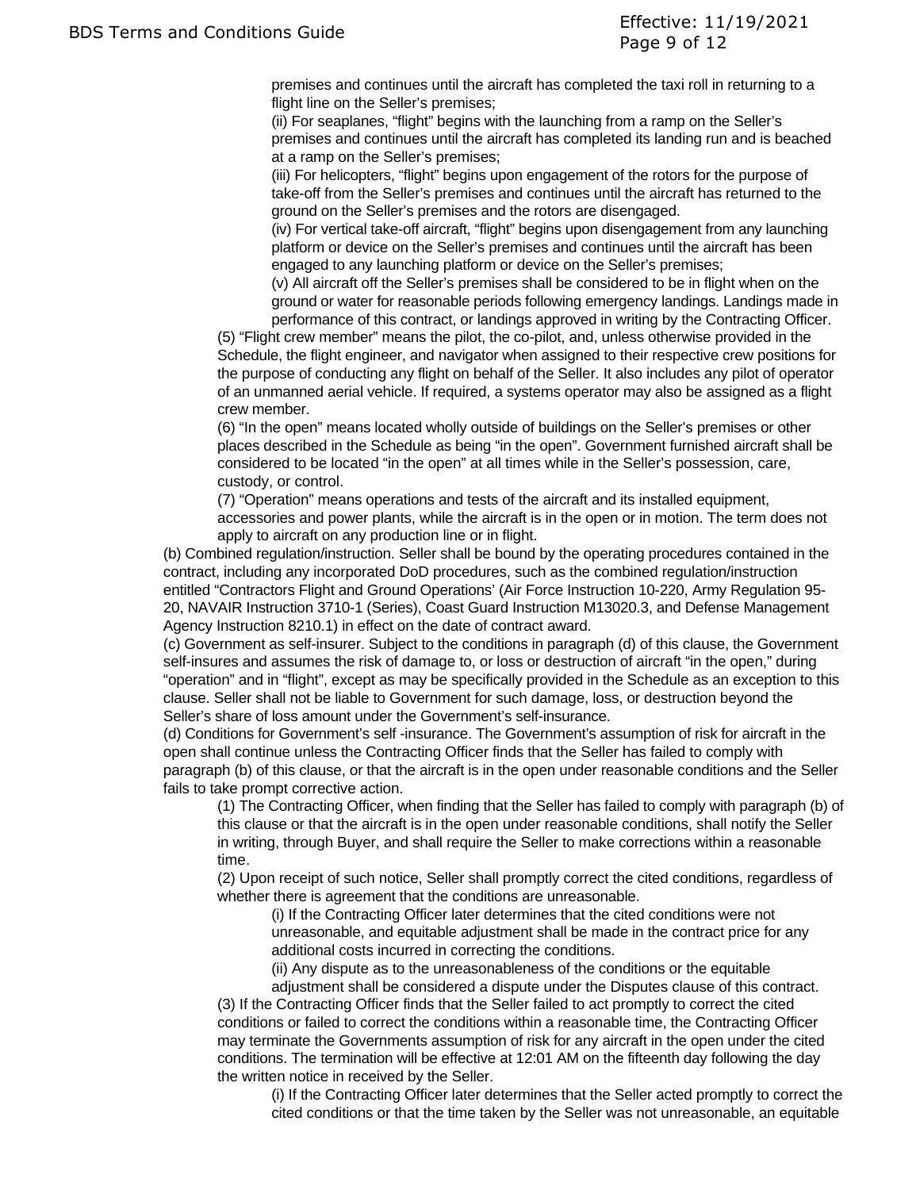premises and continues until the aircraft has completed the taxi roll in returning to a flight line on the Seller's premises;

(ii) For seaplanes, "flight" begins with the launching from a ramp on the Seller's premises and continues until the aircraft has completed its landing run and is beached at a ramp on the Seller's premises;

(iii) For helicopters, "flight" begins upon engagement of the rotors for the purpose of take-off from the Seller's premises and continues until the aircraft has returned to the ground on the Seller's premises and the rotors are disengaged.

(iv) For vertical take-off aircraft, "flight" begins upon disengagement from any launching platform or device on the Seller's premises and continues until the aircraft has been engaged to any launching platform or device on the Seller's premises;

(v) All aircraft off the Seller's premises shall be considered to be in flight when on the ground or water for reasonable periods following emergency landings. Landings made in performance of this contract, or landings approved in writing by the Contracting Officer.

(5) "Flight crew member" means the pilot, the co-pilot, and, unless otherwise provided in the Schedule, the flight engineer, and navigator when assigned to their respective crew positions for the purpose of conducting any flight on behalf of the Seller. It also includes any pilot of operator of an unmanned aerial vehicle. If required, a systems operator may also be assigned as a flight crew member.

(6) "In the open" means located wholly outside of buildings on the Seller's premises or other places described in the Schedule as being "in the open". Government furnished aircraft shall be considered to be located "in the open" at all times while in the Seller's possession, care, custody, or control.

(7) "Operation" means operations and tests of the aircraft and its installed equipment, accessories and power plants, while the aircraft is in the open or in motion. The term does not apply to aircraft on any production line or in flight.

(b) Combined regulation/instruction. Seller shall be bound by the operating procedures contained in the contract, including any incorporated DoD procedures, such as the combined regulation/instruction entitled "Contractors Flight and Ground Operations' (Air Force Instruction 10-220, Army Regulation 95- 20, NAVAIR Instruction 3710-1 (Series), Coast Guard Instruction M13020.3, and Defense Management Agency Instruction 8210.1) in effect on the date of contract award.

(c) Government as self-insurer. Subject to the conditions in paragraph (d) of this clause, the Government self-insures and assumes the risk of damage to, or loss or destruction of aircraft "in the open," during "operation" and in "flight", except as may be specifically provided in the Schedule as an exception to this clause. Seller shall not be liable to Government for such damage, loss, or destruction beyond the Seller's share of loss amount under the Government's self-insurance.

(d) Conditions for Government's self -insurance. The Government's assumption of risk for aircraft in the open shall continue unless the Contracting Officer finds that the Seller has failed to comply with paragraph (b) of this clause, or that the aircraft is in the open under reasonable conditions and the Seller fails to take prompt corrective action.

(1) The Contracting Officer, when finding that the Seller has failed to comply with paragraph (b) of this clause or that the aircraft is in the open under reasonable conditions, shall notify the Seller in writing, through Buyer, and shall require the Seller to make corrections within a reasonable time.

(2) Upon receipt of such notice, Seller shall promptly correct the cited conditions, regardless of whether there is agreement that the conditions are unreasonable.

(i) If the Contracting Officer later determines that the cited conditions were not unreasonable, and equitable adjustment shall be made in the contract price for any additional costs incurred in correcting the conditions.

(ii) Any dispute as to the unreasonableness of the conditions or the equitable

adjustment shall be considered a dispute under the Disputes clause of this contract. (3) If the Contracting Officer finds that the Seller failed to act promptly to correct the cited conditions or failed to correct the conditions within a reasonable time, the Contracting Officer may terminate the Governments assumption of risk for any aircraft in the open under the cited conditions. The termination will be effective at 12:01 AM on the fifteenth day following the day the written notice in received by the Seller.

(i) If the Contracting Officer later determines that the Seller acted promptly to correct the cited conditions or that the time taken by the Seller was not unreasonable, an equitable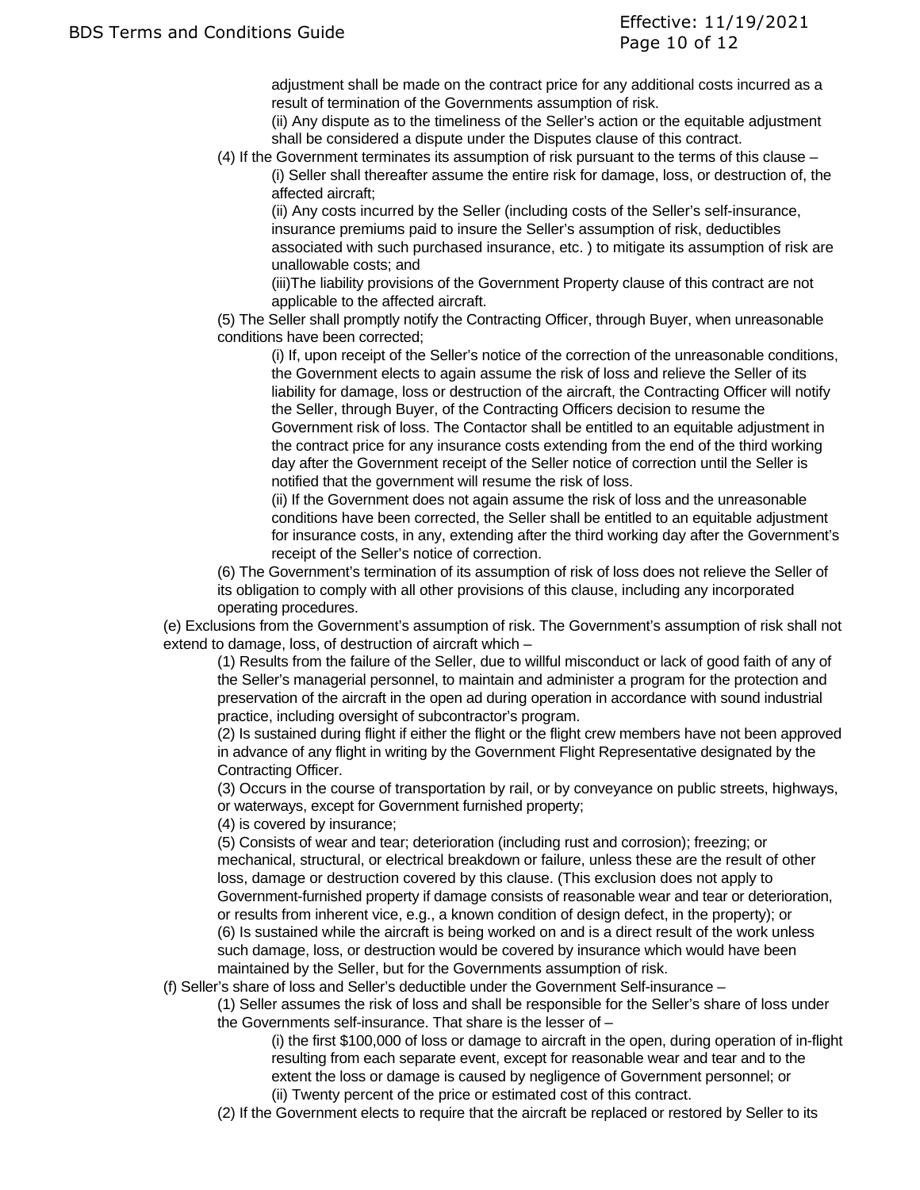adjustment shall be made on the contract price for any additional costs incurred as a result of termination of the Governments assumption of risk.

(ii) Any dispute as to the timeliness of the Seller's action or the equitable adjustment shall be considered a dispute under the Disputes clause of this contract.

(4) If the Government terminates its assumption of risk pursuant to the terms of this clause – (i) Seller shall thereafter assume the entire risk for damage, loss, or destruction of, the affected aircraft;

(ii) Any costs incurred by the Seller (including costs of the Seller's self-insurance, insurance premiums paid to insure the Seller's assumption of risk, deductibles associated with such purchased insurance, etc. ) to mitigate its assumption of risk are unallowable costs; and

(iii)The liability provisions of the Government Property clause of this contract are not applicable to the affected aircraft.

(5) The Seller shall promptly notify the Contracting Officer, through Buyer, when unreasonable conditions have been corrected;

(i) If, upon receipt of the Seller's notice of the correction of the unreasonable conditions, the Government elects to again assume the risk of loss and relieve the Seller of its liability for damage, loss or destruction of the aircraft, the Contracting Officer will notify the Seller, through Buyer, of the Contracting Officers decision to resume the Government risk of loss. The Contactor shall be entitled to an equitable adjustment in the contract price for any insurance costs extending from the end of the third working day after the Government receipt of the Seller notice of correction until the Seller is notified that the government will resume the risk of loss.

(ii) If the Government does not again assume the risk of loss and the unreasonable conditions have been corrected, the Seller shall be entitled to an equitable adjustment for insurance costs, in any, extending after the third working day after the Government's receipt of the Seller's notice of correction.

(6) The Government's termination of its assumption of risk of loss does not relieve the Seller of its obligation to comply with all other provisions of this clause, including any incorporated operating procedures.

(e) Exclusions from the Government's assumption of risk. The Government's assumption of risk shall not extend to damage, loss, of destruction of aircraft which –

(1) Results from the failure of the Seller, due to willful misconduct or lack of good faith of any of the Seller's managerial personnel, to maintain and administer a program for the protection and preservation of the aircraft in the open ad during operation in accordance with sound industrial practice, including oversight of subcontractor's program.

(2) Is sustained during flight if either the flight or the flight crew members have not been approved in advance of any flight in writing by the Government Flight Representative designated by the Contracting Officer.

(3) Occurs in the course of transportation by rail, or by conveyance on public streets, highways, or waterways, except for Government furnished property;

(4) is covered by insurance;

(5) Consists of wear and tear; deterioration (including rust and corrosion); freezing; or mechanical, structural, or electrical breakdown or failure, unless these are the result of other loss, damage or destruction covered by this clause. (This exclusion does not apply to Government-furnished property if damage consists of reasonable wear and tear or deterioration, or results from inherent vice, e.g., a known condition of design defect, in the property); or (6) Is sustained while the aircraft is being worked on and is a direct result of the work unless such damage, loss, or destruction would be covered by insurance which would have been maintained by the Seller, but for the Governments assumption of risk.

(f) Seller's share of loss and Seller's deductible under the Government Self-insurance –

(1) Seller assumes the risk of loss and shall be responsible for the Seller's share of loss under the Governments self-insurance. That share is the lesser of –

(i) the first \$100,000 of loss or damage to aircraft in the open, during operation of in-flight resulting from each separate event, except for reasonable wear and tear and to the extent the loss or damage is caused by negligence of Government personnel; or (ii) Twenty percent of the price or estimated cost of this contract.

(2) If the Government elects to require that the aircraft be replaced or restored by Seller to its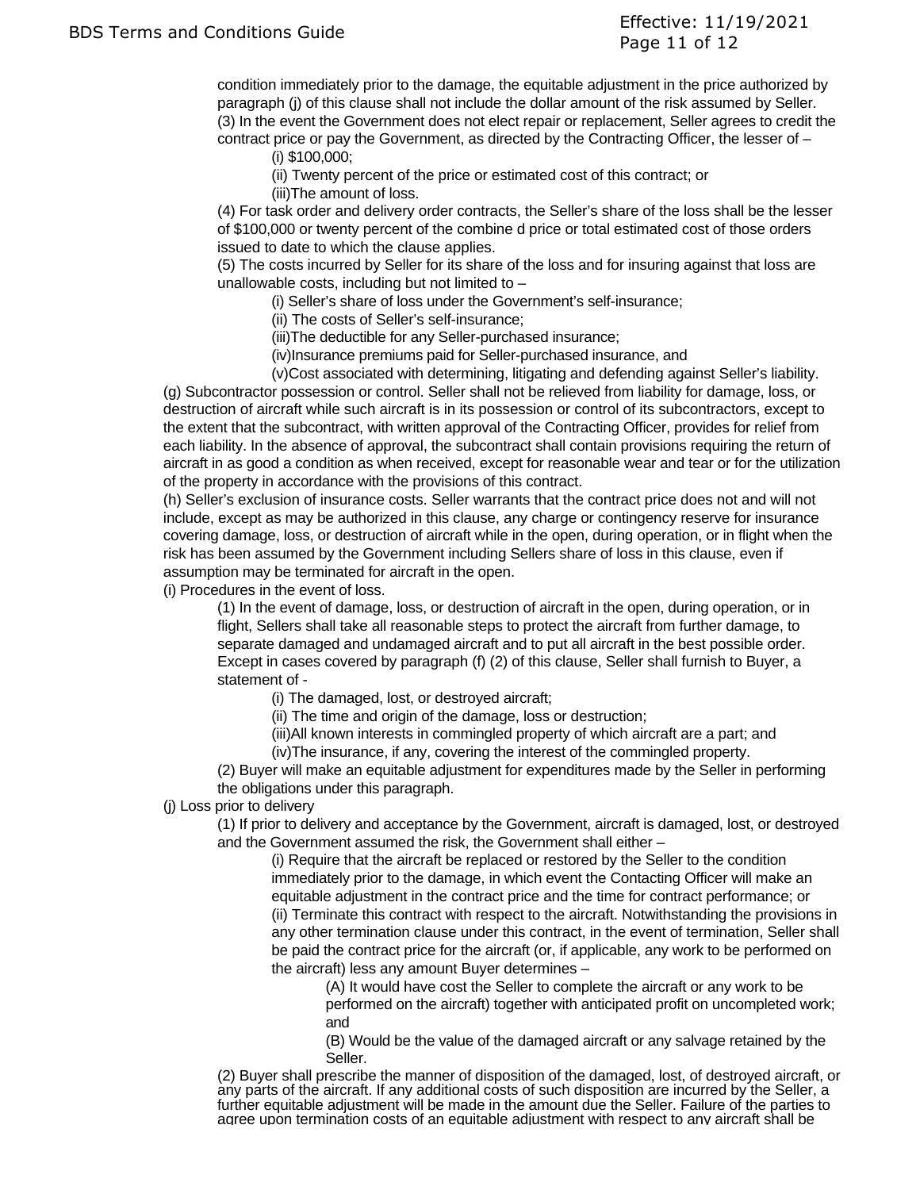condition immediately prior to the damage, the equitable adjustment in the price authorized by paragraph (j) of this clause shall not include the dollar amount of the risk assumed by Seller. (3) In the event the Government does not elect repair or replacement, Seller agrees to credit the contract price or pay the Government, as directed by the Contracting Officer, the lesser of –

(i) \$100,000;

(ii) Twenty percent of the price or estimated cost of this contract; or

(iii)The amount of loss.

(4) For task order and delivery order contracts, the Seller's share of the loss shall be the lesser of \$100,000 or twenty percent of the combine d price or total estimated cost of those orders issued to date to which the clause applies.

(5) The costs incurred by Seller for its share of the loss and for insuring against that loss are unallowable costs, including but not limited to  $-$ 

(i) Seller's share of loss under the Government's self-insurance;

(ii) The costs of Seller's self-insurance;

(iii)The deductible for any Seller-purchased insurance;

(iv)Insurance premiums paid for Seller-purchased insurance, and

(v)Cost associated with determining, litigating and defending against Seller's liability.

(g) Subcontractor possession or control. Seller shall not be relieved from liability for damage, loss, or destruction of aircraft while such aircraft is in its possession or control of its subcontractors, except to the extent that the subcontract, with written approval of the Contracting Officer, provides for relief from each liability. In the absence of approval, the subcontract shall contain provisions requiring the return of aircraft in as good a condition as when received, except for reasonable wear and tear or for the utilization of the property in accordance with the provisions of this contract.

(h) Seller's exclusion of insurance costs. Seller warrants that the contract price does not and will not include, except as may be authorized in this clause, any charge or contingency reserve for insurance covering damage, loss, or destruction of aircraft while in the open, during operation, or in flight when the risk has been assumed by the Government including Sellers share of loss in this clause, even if assumption may be terminated for aircraft in the open.

(i) Procedures in the event of loss.

(1) In the event of damage, loss, or destruction of aircraft in the open, during operation, or in flight, Sellers shall take all reasonable steps to protect the aircraft from further damage, to separate damaged and undamaged aircraft and to put all aircraft in the best possible order. Except in cases covered by paragraph (f) (2) of this clause, Seller shall furnish to Buyer, a statement of -

(i) The damaged, lost, or destroyed aircraft;

(ii) The time and origin of the damage, loss or destruction;

(iii)All known interests in commingled property of which aircraft are a part; and (iv)The insurance, if any, covering the interest of the commingled property.

(2) Buyer will make an equitable adjustment for expenditures made by the Seller in performing the obligations under this paragraph.

(j) Loss prior to delivery

(1) If prior to delivery and acceptance by the Government, aircraft is damaged, lost, or destroyed and the Government assumed the risk, the Government shall either –

(i) Require that the aircraft be replaced or restored by the Seller to the condition immediately prior to the damage, in which event the Contacting Officer will make an equitable adjustment in the contract price and the time for contract performance; or (ii) Terminate this contract with respect to the aircraft. Notwithstanding the provisions in any other termination clause under this contract, in the event of termination, Seller shall be paid the contract price for the aircraft (or, if applicable, any work to be performed on the aircraft) less any amount Buyer determines –

(A) It would have cost the Seller to complete the aircraft or any work to be performed on the aircraft) together with anticipated profit on uncompleted work; and

(B) Would be the value of the damaged aircraft or any salvage retained by the Seller.

(2) Buyer shall prescribe the manner of disposition of the damaged, lost, of destroyed aircraft, or any parts of the aircraft. If any additional costs of such disposition are incurred by the Seller, a further equitable adjustment will be made in the amount due the Seller. Failure of the parties to agree upon termination costs of an equitable adjustment with respect to any aircraft shall be